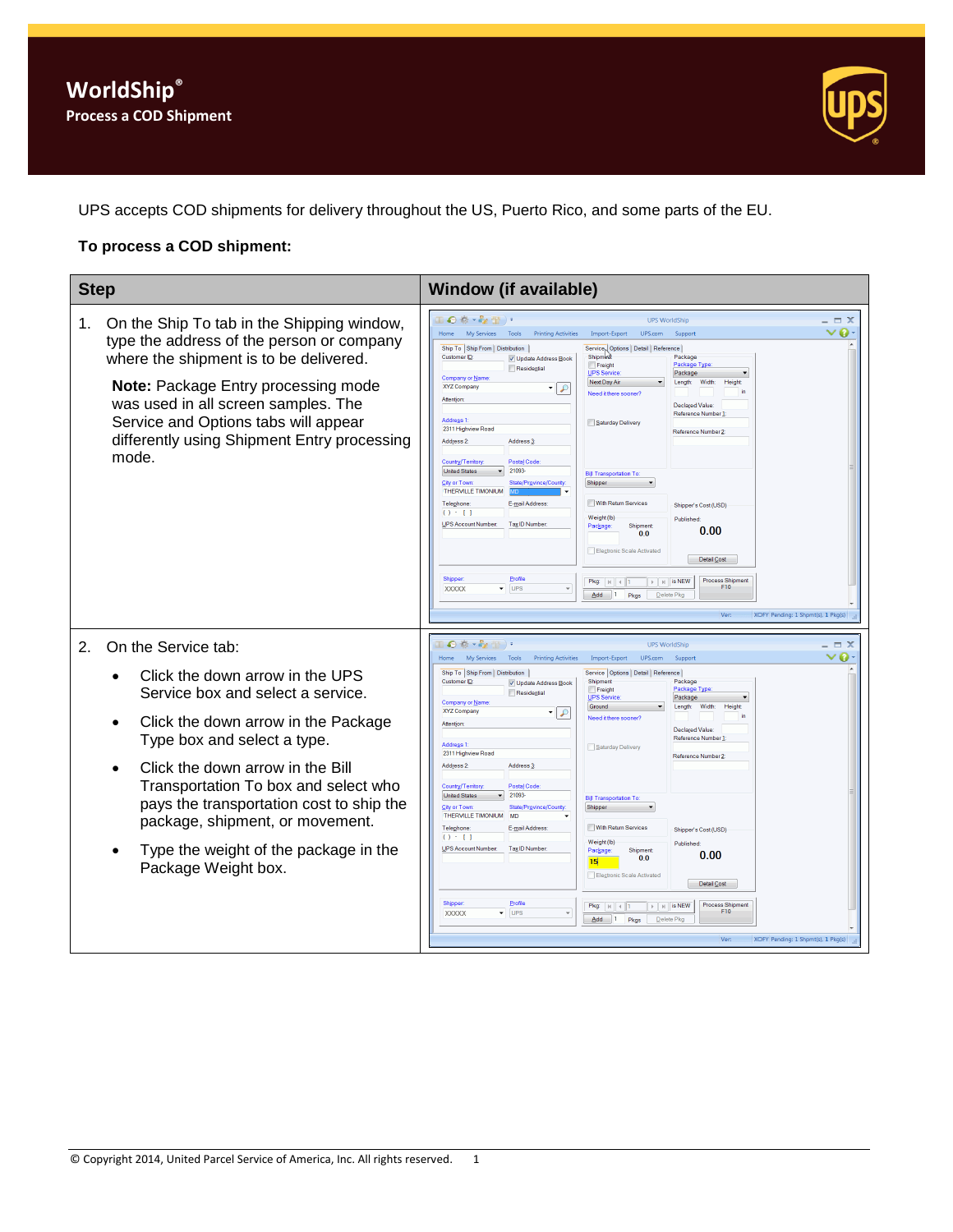

UPS accepts COD shipments for delivery throughout the US, Puerto Rico, and some parts of the EU.

## **To process a COD shipment:**

| <b>Step</b>                                                                                                                                                                                                                                                                                                                                                           | <b>Window (if available)</b>                                                                                                                                                                                                                                                                                                                                                                                                                                                                                                                                                                                                                                                                                                                                                                                                                                                                                                                                                                                                                                                                                                                                                                                                                                                                                                                                                                                               |
|-----------------------------------------------------------------------------------------------------------------------------------------------------------------------------------------------------------------------------------------------------------------------------------------------------------------------------------------------------------------------|----------------------------------------------------------------------------------------------------------------------------------------------------------------------------------------------------------------------------------------------------------------------------------------------------------------------------------------------------------------------------------------------------------------------------------------------------------------------------------------------------------------------------------------------------------------------------------------------------------------------------------------------------------------------------------------------------------------------------------------------------------------------------------------------------------------------------------------------------------------------------------------------------------------------------------------------------------------------------------------------------------------------------------------------------------------------------------------------------------------------------------------------------------------------------------------------------------------------------------------------------------------------------------------------------------------------------------------------------------------------------------------------------------------------------|
| On the Ship To tab in the Shipping window,<br>1.<br>type the address of the person or company<br>where the shipment is to be delivered.<br><b>Note:</b> Package Entry processing mode<br>was used in all screen samples. The<br>Service and Options tabs will appear<br>differently using Shipment Entry processing<br>mode.                                          | Ⅱ◎参→☆型)<br><b>UPS WorldShip</b><br>$\equiv$ $\times$<br>Tools<br><b>Printing Activities</b><br>Import-Export<br>UPS.com<br>ø<br>Home<br>My Services<br>Support<br>Ship To Ship From Distribution<br>Service <sub>N</sub> Options   Detail   Reference  <br>Customer ID:<br>Shinm-43<br>Package<br>V Update Address Book<br>Freight<br>Package Typ<br>Residential<br><b>UPS Service</b><br>Package<br><b>Company or Name</b><br>Next Day Air<br>Length:<br><b>Width:</b><br>Height<br>XYZ Company<br>$\curvearrowright$<br>Need it there sooner?<br>Attention<br><b>Declared Value</b><br>Reference Number 1:<br><b>Address 1</b><br>Saturday Delivery<br>2311 Highview Road<br>Reference Number 2<br>Address 2:<br>Address 3<br>Postal Code<br>Country/Territory<br>21093<br><b>United States</b><br><b>Bill Transportation To</b><br>City or Town:<br>State/Province/County<br>Shipper<br>THERVILLE TIMONIUM<br>With Return Services<br>Telephone<br>E-mail Address<br>Shipper's Cost (USD)<br>$() \cdot [ ]$<br>Weight (lb)<br>Published<br>UPS Account Number:<br>Tax ID Number<br>Package<br>Shipment<br>0.00<br>0.0<br>Electronic Scale Activated<br>Detail Cost<br>Shipper<br>Profile<br><b>Process Shipment</b><br>$\mathbb{F}$   $\mathbb{H}$   is NEW<br>$Pkq:  q $ 4<br>F10<br>$\overline{\phantom{a}}$ UPS<br><b>XXXXX</b><br>$Add \quad 1$<br>Pkgs<br>Delete Pkg<br>XOFY Pending: 1 Shpmt(s), 1 Pkg(s)<br>Ver: |
| On the Service tab:<br>2.                                                                                                                                                                                                                                                                                                                                             | $\bullet \bullet \cdot \bullet \bullet \bullet \bullet$<br><b>UPS WorldShip</b><br>$\equiv$ $\times$<br>o<br>My Services<br>UPS.com<br>Tools<br><b>Printing Activities</b><br>Import-Export<br>Suppor<br><b>Home</b>                                                                                                                                                                                                                                                                                                                                                                                                                                                                                                                                                                                                                                                                                                                                                                                                                                                                                                                                                                                                                                                                                                                                                                                                       |
| Click the down arrow in the UPS<br>Service box and select a service.<br>Click the down arrow in the Package<br>Type box and select a type.<br>Click the down arrow in the Bill<br>Transportation To box and select who<br>pays the transportation cost to ship the<br>package, shipment, or movement.<br>Type the weight of the package in the<br>Package Weight box. | Ship To Ship From Distribution<br>Service   Options   Detail   Reference  <br>Customer ID:<br>Package<br>Shinment<br>V Update Address Book<br>Package Type<br>Freight<br>Residential<br><b>UPS Service</b><br>Package<br>Company or Name<br>Ground<br>Width:<br>Height<br>Length:<br>XYZ Company<br>•∣₽<br>Need it there sooner?<br><b>Attention</b><br>Declared Value:<br>Reference Number ]<br><b>Address 1</b><br>Saturday Delivery<br>2311 Highview Road<br>Reference Number 2<br>Address 2:<br>Address 3<br>Postal Code<br>Country/Territory:<br>21093-<br><b>United States</b><br><b>Bill Transportation To:</b><br>City or Town:<br>State/Province/County<br>Shipper<br>THERVILLE TIMONIUM<br><b>MD</b><br>With Return Services<br>Telephone<br>E-mail Address<br>Shipper's Cost (USD)<br>$() - 1$<br>Weight (lb)<br>Published<br><b>UPS Account Number</b><br>Tax ID Number:<br>Package:<br>Shipment<br>0.00<br>0.0<br>15 <sub>1</sub><br>Electronic Scale Activated<br>Detail Cost                                                                                                                                                                                                                                                                                                                                                                                                                                |
|                                                                                                                                                                                                                                                                                                                                                                       | Profile<br>Shipper<br><b>Process Shipment</b><br>Pkg: $\vert \mathbf{K} \vert \vert$ 4 1<br>$\triangleright$   $\triangleright$   is NEW<br>F10<br>XXXXX<br>$\blacktriangleright$ UPS<br>٠<br>Add<br>$\blacksquare$<br>Pkas<br>Delete Pko<br>XOFY Pending: 1 Shpmt(s), 1 Pkg(s)<br>Ver:                                                                                                                                                                                                                                                                                                                                                                                                                                                                                                                                                                                                                                                                                                                                                                                                                                                                                                                                                                                                                                                                                                                                    |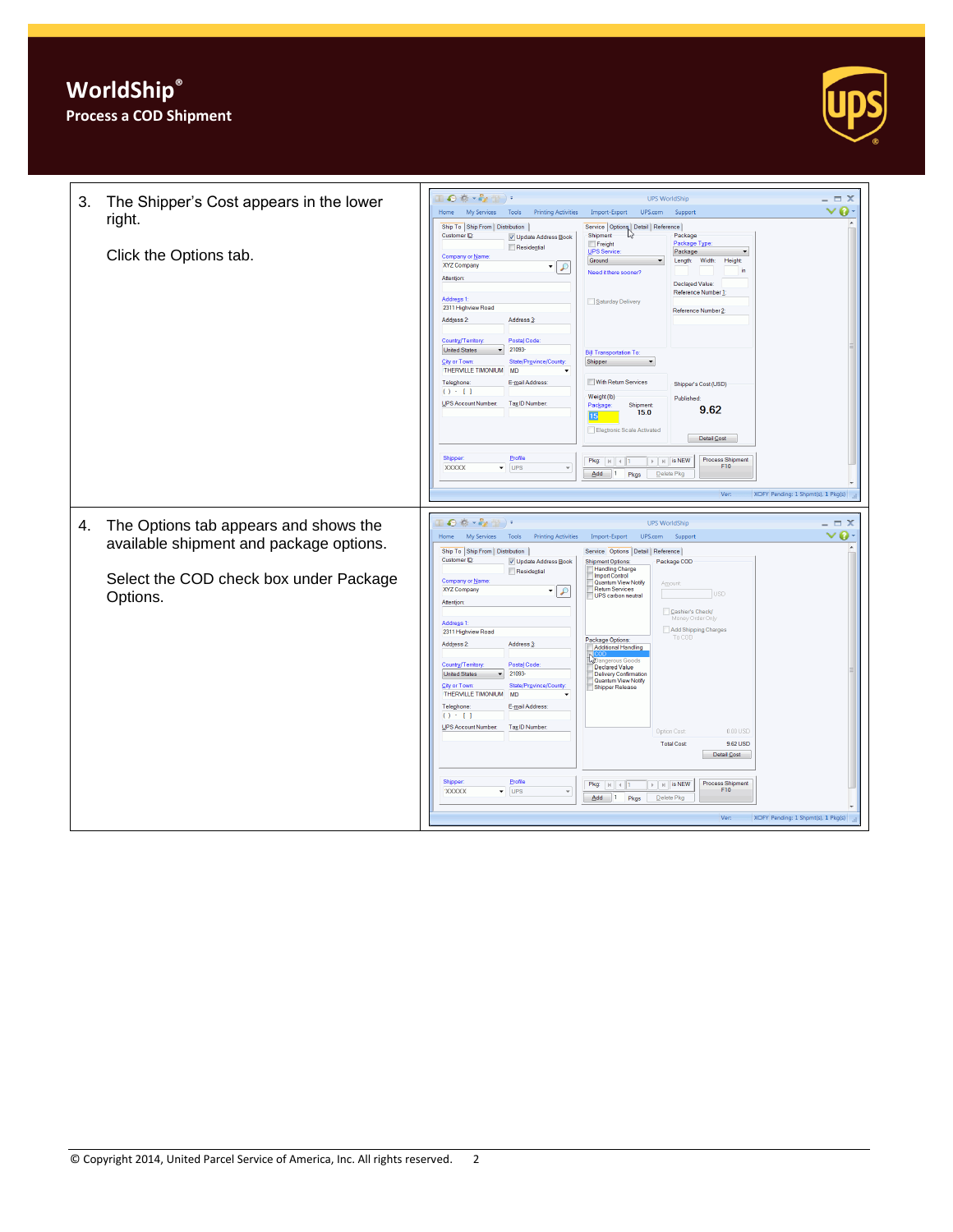

| 3.<br>The Shipper's Cost appears in the lower<br>right.<br>Click the Options tab. | $\equiv$ $\times$<br><b>UPS WorldShip</b><br>$\boldsymbol{0}$<br>Home My Services<br>Tools<br><b>Printing Activities</b><br>Import-Export<br>UPS.com<br>Support<br>Ship To Ship From Distribution<br>Service   Options   Detail   Reference  <br>Customer ID:<br>Shipment<br>Package<br>V Update Address Book<br>Freight<br>Package Type<br>Residential<br>UPS Service<br>Package<br>$\blacktriangledown$<br>Company or Name<br>Ground<br>Length:<br>Width:<br>Height<br>XYZ Company<br>9 ا •<br>in<br>Need it there sooner?<br>Attention<br>Declared Value:<br>Reference Number 1:<br>Address <sub>1</sub><br>Saturday Delivery<br>2311 Highview Road<br>Reference Number 2:<br>Address 2:<br>Address 3:<br>Country/Territory<br>Postal Code<br>21093-<br><b>United States</b><br><b>Bill Transportation To:</b><br>City or Town:<br>State/Province/County<br>Shipper<br>THERVILLE TIMONIUM<br><b>MD</b><br>Telephone:<br>E-mail Address:<br>With Return Services<br>Shipper's Cost (USD)<br>$() - 1$<br>Weight (lb)<br>Published:<br><b>UPS Account Number:</b><br>Tax ID Number:<br>Package:<br>Shipment<br>9.62<br>15.0<br>15<br>Electronic Scale Activated<br>Detail Cost<br>Profile<br><b>Shipper:</b><br>Process Shipment<br>$\blacktriangleright$ $\blacktriangleright$ $\blacktriangleright$ $\blacktriangleright$ is NEW<br>F10<br>$\overline{\phantom{a}}$ UPS<br><b>XXXXX</b><br>$\overline{\phantom{a}}$<br>$Add \t1$<br>Delete Pkg<br>Pkgs |
|-----------------------------------------------------------------------------------|----------------------------------------------------------------------------------------------------------------------------------------------------------------------------------------------------------------------------------------------------------------------------------------------------------------------------------------------------------------------------------------------------------------------------------------------------------------------------------------------------------------------------------------------------------------------------------------------------------------------------------------------------------------------------------------------------------------------------------------------------------------------------------------------------------------------------------------------------------------------------------------------------------------------------------------------------------------------------------------------------------------------------------------------------------------------------------------------------------------------------------------------------------------------------------------------------------------------------------------------------------------------------------------------------------------------------------------------------------------------------------------------------------------------------------------------------------|
| The Options tab appears and shows the<br>4.                                       | XOFY Pending: 1 Shpmt(s), 1 Pkg(s)<br>Ver:<br>40 卷 * 62 册 ) *<br><b>UPS WorldShip</b><br>$\equiv$ $\times$                                                                                                                                                                                                                                                                                                                                                                                                                                                                                                                                                                                                                                                                                                                                                                                                                                                                                                                                                                                                                                                                                                                                                                                                                                                                                                                                               |
| available shipment and package options.<br>Select the COD check box under Package | ◉<br>Home My Services Tools Printing Activities<br>$\checkmark$<br>Import-Export<br>UPS.com<br>Support<br>Ship To Ship From Distribution<br>Service Options Detail Reference<br>Customer ID:<br>V Update Address Book<br><b>Shipment Options:</b><br>Package COD<br><b>Handling Charge</b><br>Residential<br><b>Import Control</b><br>Company or Name<br>Quantum View Notify<br>Amount<br>Return Services<br><b>XYZ Company</b><br>-   0                                                                                                                                                                                                                                                                                                                                                                                                                                                                                                                                                                                                                                                                                                                                                                                                                                                                                                                                                                                                                 |
| Options.                                                                          | <b>USD</b><br>UPS carbon neutral<br>Attention<br>Cashier's Check<br>Money Order Only<br>Address 1:<br>Add Shipping Charges<br>2311 Highview Road<br>To COD<br>Package Options:<br>Address 2:<br>Address 3:<br>Additional Handling<br>Dangerous Goods<br>Country/Territory:<br>Postal Code<br>Declared Value<br><b>United States</b><br>21093<br><b>Delivery Confirmation</b><br>Quantum View Notify<br>City or Town:<br>State/Province/County:<br>Shipper Release<br>THERVILLE TIMONIUM<br><b>MD</b><br>Telephone:<br>E-mail Address:<br>$() - 1$                                                                                                                                                                                                                                                                                                                                                                                                                                                                                                                                                                                                                                                                                                                                                                                                                                                                                                        |
|                                                                                   | UPS Account Number:<br>Tax ID Number:<br>0.00 USD<br>Option Cost:<br>9.62 USD<br><b>Total Cost</b><br>Detail Cost<br>Shipper<br>Profile<br>Process Shipment<br>Pkg:   H   4   1<br>$\triangleright$   $\triangleright$   is NEW<br>F10<br>$\overline{\phantom{a}}$ UPS<br>XXXXX<br>$\overline{\phantom{a}}$<br>$Add \quad 1$<br>Pkgs<br>Delete Pkg<br>XOFY Pending: 1 Shpmt(s), 1 Pkg(s)<br>Ver:                                                                                                                                                                                                                                                                                                                                                                                                                                                                                                                                                                                                                                                                                                                                                                                                                                                                                                                                                                                                                                                         |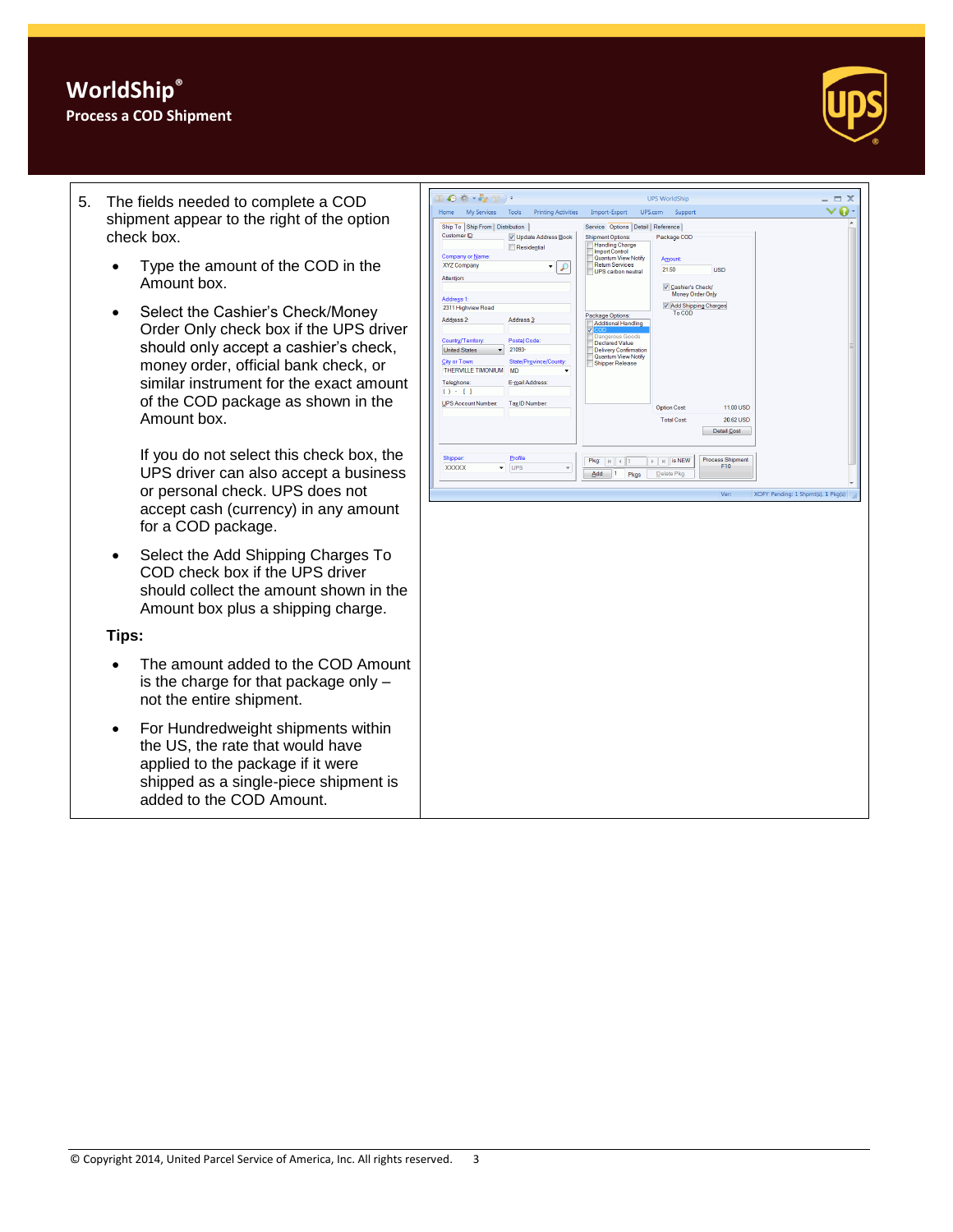## **WorldShip® Process a COD Shipment**



- 5. The fields needed to complete a COD shipment appear to the right of the option check box.
	- Type the amount of the COD in the Amount box.
	- Select the Cashier's Check/Money Order Only check box if the UPS driver should only accept a cashier's check, money order, official bank check, or similar instrument for the exact amount of the COD package as shown in the Amount box.

If you do not select this check box, the UPS driver can also accept a business or personal check. UPS does not accept cash (currency) in any amount for a COD package.

 Select the Add Shipping Charges To COD check box if the UPS driver should collect the amount shown in the Amount box plus a shipping charge.

**Tips:** 

- The amount added to the COD Amount is the charge for that package only – not the entire shipment.
- For Hundredweight shipments within the US, the rate that would have applied to the package if it were shipped as a single-piece shipment is added to the COD Amount.

| $\mathbf{O}$ is $\mathbf{e}$ in $\mathbf{e}$                                                                                                                                                                                                                                                          |                                                                                                                                                                    | <b>UPS WorldShip</b>                                                                                                                                                                                                                                                                                                                                                                                                                                                                                                     | $\mathbf x$ |
|-------------------------------------------------------------------------------------------------------------------------------------------------------------------------------------------------------------------------------------------------------------------------------------------------------|--------------------------------------------------------------------------------------------------------------------------------------------------------------------|--------------------------------------------------------------------------------------------------------------------------------------------------------------------------------------------------------------------------------------------------------------------------------------------------------------------------------------------------------------------------------------------------------------------------------------------------------------------------------------------------------------------------|-------------|
| <b>My Services</b><br>Home                                                                                                                                                                                                                                                                            | <b>Printing Activities</b><br>Tools                                                                                                                                | Import-Export<br>UPS.com<br>Support                                                                                                                                                                                                                                                                                                                                                                                                                                                                                      |             |
| Ship To Ship From Distribution<br>Customer ID:<br>Company or Name:<br>XYZ Company<br>Attention:<br>Address 1:<br>2311 Highview Road<br>Address 2:<br>Country/Territory:<br><b>United States</b><br>City or Town:<br><b>THERVILLE TIMONIUM</b><br>Telephone:<br>$() - 1$<br><b>UPS Account Number:</b> | V Update Address Book<br>Residential<br>₽<br>Address 3:<br>Postal Code:<br>21093-<br>State/Province/County:<br><b>MD</b><br>٠<br>E-mail Address:<br>Tax ID Number: | Service Options Detail Reference<br><b>Shipment Options:</b><br>Package COD<br><b>Handling Charge</b><br><b>Import Control</b><br>Quantum View Notify<br>Amount<br><b>Return Services</b><br>21.50<br><b>USD</b><br><b>UPS</b> carbon neutral<br>Cashier's Check/<br>Money Order Only<br>V Add Shipping Charges<br>To COD<br>Package Options:<br><b>Additional Handling</b><br>$\nabla$ COD<br>Dangerous Goods<br><b>Declared Value</b><br><b>Delivery Confirmation</b><br>Quantum View Notify<br><b>Shipper Release</b> |             |
| Shipper:<br><b>XXXXXX</b><br>۰                                                                                                                                                                                                                                                                        | Profile<br><b>UPS</b><br>÷                                                                                                                                         | 11.00 USD<br><b>Option Cost</b><br><b>Total Cost</b><br>20.62 USD<br><b>Detail Cost</b><br><b>Process Shipment</b><br>is NEW<br>Pkg:<br>$\mathbb{N}$<br>$\mathbb{N}$<br>F10<br>Add<br>Pkgs<br>Delete Pkg                                                                                                                                                                                                                                                                                                                 |             |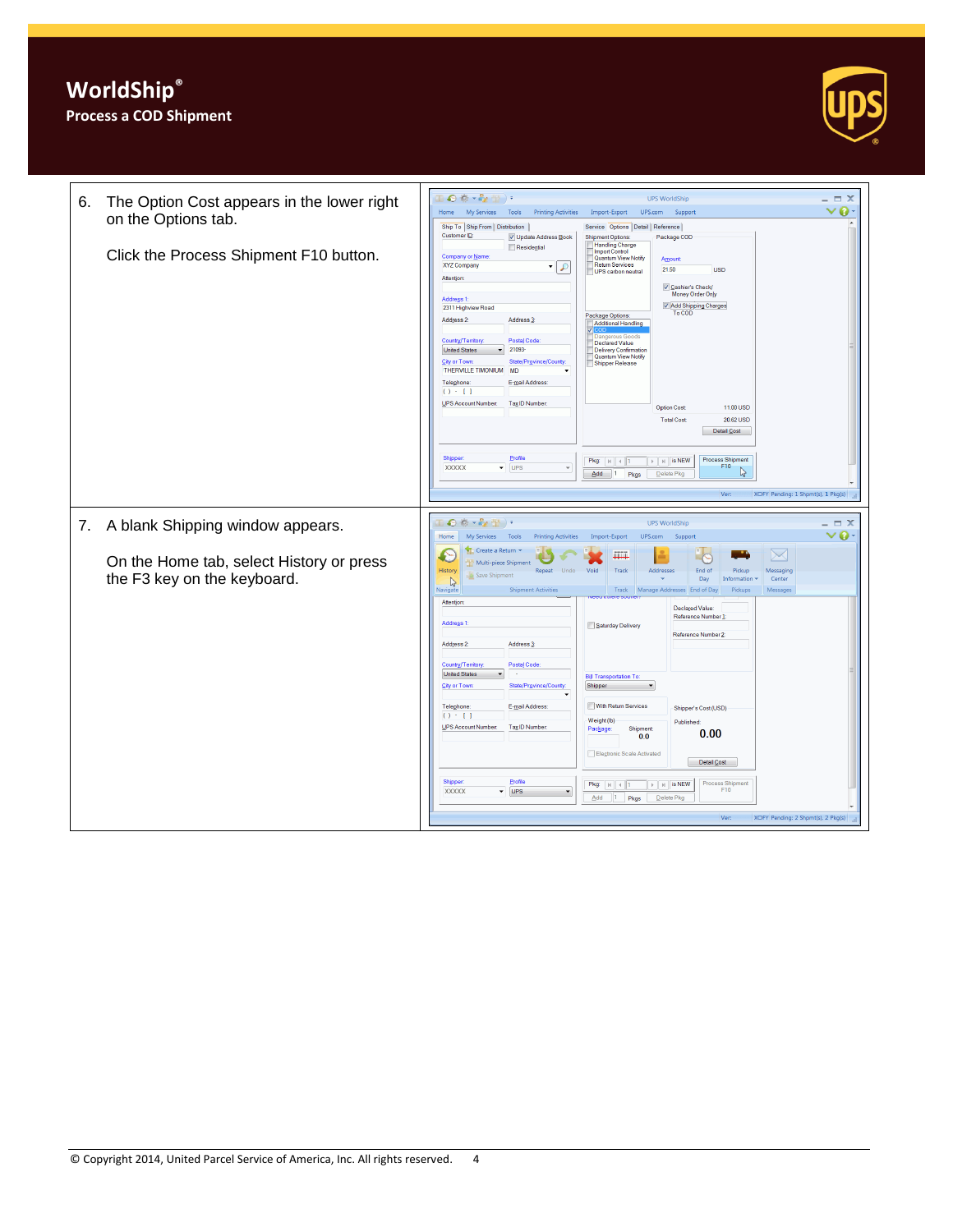

| 6. | The Option Cost appears in the lower right | $\mathbf{0} \oplus \mathbf{v}_{2}$ $\cdots$<br><b>UPS WorldShip</b>                                                                                                                                                                                 | $\Box$ $\times$<br>ø<br>$\checkmark$ |  |  |
|----|--------------------------------------------|-----------------------------------------------------------------------------------------------------------------------------------------------------------------------------------------------------------------------------------------------------|--------------------------------------|--|--|
|    | on the Options tab.                        | My Services<br>Home<br>Tools<br><b>Printing Activities</b><br>Import-Export<br>UPS.com<br>Support<br>Ship To Ship From Distribution                                                                                                                 |                                      |  |  |
|    | Click the Process Shipment F10 button.     | Service Options Detail Reference<br>Customer ID:<br>V Update Address Book<br>Package COD<br><b>Shipment Options:</b><br>Handling Charge<br>Residential<br><b>Import Control</b><br>Company or Name                                                  |                                      |  |  |
|    |                                            | Quantum View Notify<br>Amount<br><b>Return Services</b><br>XYZ Company<br>$\mathcal{L}$<br>▾<br>21.50<br><b>USD</b><br>UPS carbon neutral<br>Attention                                                                                              |                                      |  |  |
|    |                                            | ☑ Cashier's Check/<br>Money Order Only<br>Address 1:<br>V Add Shipping Charges<br>2311 Highview Road<br>To COD                                                                                                                                      |                                      |  |  |
|    |                                            | Package Options:<br>Address 2:<br>Address 3<br>Additional Handling<br>s Goods<br>Country/Territory:<br>Postal Code                                                                                                                                  |                                      |  |  |
|    |                                            | <b>Declared Value</b><br><b>United States</b><br>21093-<br>Delivery Confirmation<br>Quantum View Notify<br>State/Province/County<br>City or Town:<br>Shipper Release<br>THERVILLE TIMONIUM<br><b>MD</b>                                             |                                      |  |  |
|    |                                            | Teleghone:<br>E-mail Address:<br>$() \cdot 1$                                                                                                                                                                                                       |                                      |  |  |
|    |                                            | UPS Account Number:<br>Tax ID Number:<br>11.00 USD<br><b>Option Cost</b>                                                                                                                                                                            |                                      |  |  |
|    |                                            | <b>Total Cost</b><br>20.62 USD<br>Detail Cost                                                                                                                                                                                                       |                                      |  |  |
|    |                                            | <b>Shipper:</b><br>Profile<br>Process Shipment<br>$\mathbb{F}$   $\mathbb{H}$   is NEW<br>Pkg: $ k $ 4 1<br>F10<br><b>XXXXX</b><br>$\overline{\phantom{a}}$ UPS<br>$\overline{\phantom{a}}$<br>↳<br>$Add \t 1$<br>Pkgs<br>Delete Pkg                |                                      |  |  |
|    |                                            |                                                                                                                                                                                                                                                     |                                      |  |  |
|    |                                            | XOFY Pending: 1 Shpmt(s), 1 Pkg(s)<br>Ver:                                                                                                                                                                                                          |                                      |  |  |
|    | 7. A blank Shipping window appears.        | ◎ 卷×4g 册 )。<br><b>UPS WorldShip</b><br>$\Box$ $X$                                                                                                                                                                                                   |                                      |  |  |
|    |                                            | Home<br>My Services Tools<br><b>Printing Activities</b><br>Import-Export<br>UPS.com<br>Support                                                                                                                                                      | $\vee$ 0                             |  |  |
|    | On the Home tab, select History or press   | Create a Return<br>$\searrow$<br>m<br>Multi-piece Shipment                                                                                                                                                                                          |                                      |  |  |
|    | the F3 key on the keyboard.                | History<br>Repeat Undo<br>Void<br>Track<br><b>Addresse</b><br>End of<br>Pickup<br>Messagino<br>Save Shipment<br>Day<br>Information<br>Center<br>D                                                                                                   |                                      |  |  |
|    |                                            | <b>Shipment Activities</b><br>Pickups<br>Track<br>Manage Addresses End of Day<br>Messages<br>Navigate                                                                                                                                               |                                      |  |  |
|    |                                            | Attention<br>Declared Value:<br>Reference Number 1<br>Address <sub>1</sub><br>Saturday Delivery                                                                                                                                                     |                                      |  |  |
|    |                                            | Reference Number 2:<br>Address 2:<br>Address <sub>3</sub>                                                                                                                                                                                           |                                      |  |  |
|    |                                            | Country/Territory:<br>Postal Code<br><b>United States</b><br><b>Bill Transportation To:</b>                                                                                                                                                         |                                      |  |  |
|    |                                            | City or Town<br>State/Province/County<br>Shipper<br>$\blacktriangledown$                                                                                                                                                                            |                                      |  |  |
|    |                                            | With Return Services<br>Telephone:<br>E-mail Address:<br>Shipper's Cost (USD)<br>$() - 1$                                                                                                                                                           |                                      |  |  |
|    |                                            | Weight (lb)<br>Published:<br>UPS Account Number:<br>Tax ID Number:<br>Shipment<br>Package<br>0.00                                                                                                                                                   |                                      |  |  |
|    |                                            | 0.0<br>Electronic Scale Activated                                                                                                                                                                                                                   |                                      |  |  |
|    |                                            | Detail Cost                                                                                                                                                                                                                                         |                                      |  |  |
|    |                                            | <b>Shipper:</b><br>Profile<br>Process Shipment<br>$\mathbb{F}$   $\mathbb{H}$   is NEW<br>Pkg:  A   A <br>F10<br><b>UPS</b><br><b>XXXXX</b><br>$\overline{\phantom{a}}$<br>$\overline{\phantom{a}}$<br>Add<br>Delete Pkg<br>$\vert 1 \vert$<br>Pkgs |                                      |  |  |